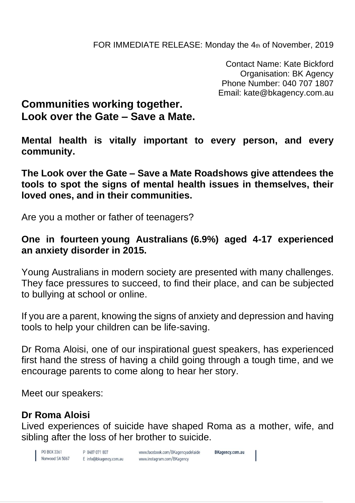Contact Name: Kate Bickford Organisation: BK Agency Phone Number: 040 707 1807 Email: kate@bkagency.com.au

## **Communities working together. Look over the Gate – Save a Mate.**

**Mental health is vitally important to every person, and every community.** 

**The Look over the Gate – Save a Mate Roadshows give attendees the tools to spot the signs of mental health issues in themselves, their loved ones, and in their communities.**

Are you a mother or father of teenagers?

## **One in fourteen young Australians (6.9%) aged 4-17 experienced an anxiety disorder in 2015.**

Young Australians in modern society are presented with many challenges. They face pressures to succeed, to find their place, and can be subjected to bullying at school or online.

If you are a parent, knowing the signs of anxiety and depression and having tools to help your children can be life-saving.

Dr Roma Aloisi, one of our inspirational guest speakers, has experienced first hand the stress of having a child going through a tough time, and we encourage parents to come along to hear her story.

Meet our speakers:

## **Dr Roma Aloisi**

Lived experiences of suicide have shaped Roma as a mother, wife, and sibling after the loss of her brother to suicide.

PO BOX 3361 **Norwood SA 5067** 

P 0407 071 807 E info@bkagency.com.au www.facebook.com/BKagencyadelaide www.instagram.com/BKagency

**BKagency.com.au**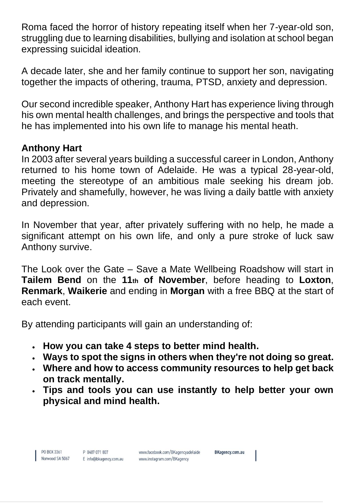Roma faced the horror of history repeating itself when her 7-year-old son, struggling due to learning disabilities, bullying and isolation at school began expressing suicidal ideation.

A decade later, she and her family continue to support her son, navigating together the impacts of othering, trauma, PTSD, anxiety and depression.

Our second incredible speaker, Anthony Hart has experience living through his own mental health challenges, and brings the perspective and tools that he has implemented into his own life to manage his mental heath.

## **Anthony Hart**

In 2003 after several years building a successful career in London, Anthony returned to his home town of Adelaide. He was a typical 28-year-old, meeting the stereotype of an ambitious male seeking his dream job. Privately and shamefully, however, he was living a daily battle with anxiety and depression.

In November that year, after privately suffering with no help, he made a significant attempt on his own life, and only a pure stroke of luck saw Anthony survive.

The Look over the Gate – Save a Mate Wellbeing Roadshow will start in **Tailem Bend** on the **11th of November**, before heading to **Loxton**, **Renmark**, **Waikerie** and ending in **Morgan** with a free BBQ at the start of each event.

By attending participants will gain an understanding of:

- **How you can take 4 steps to better mind health.**
- **Ways to spot the signs in others when they're not doing so great.**
- **Where and how to access community resources to help get back on track mentally.**
- **Tips and tools you can use instantly to help better your own physical and mind health.**